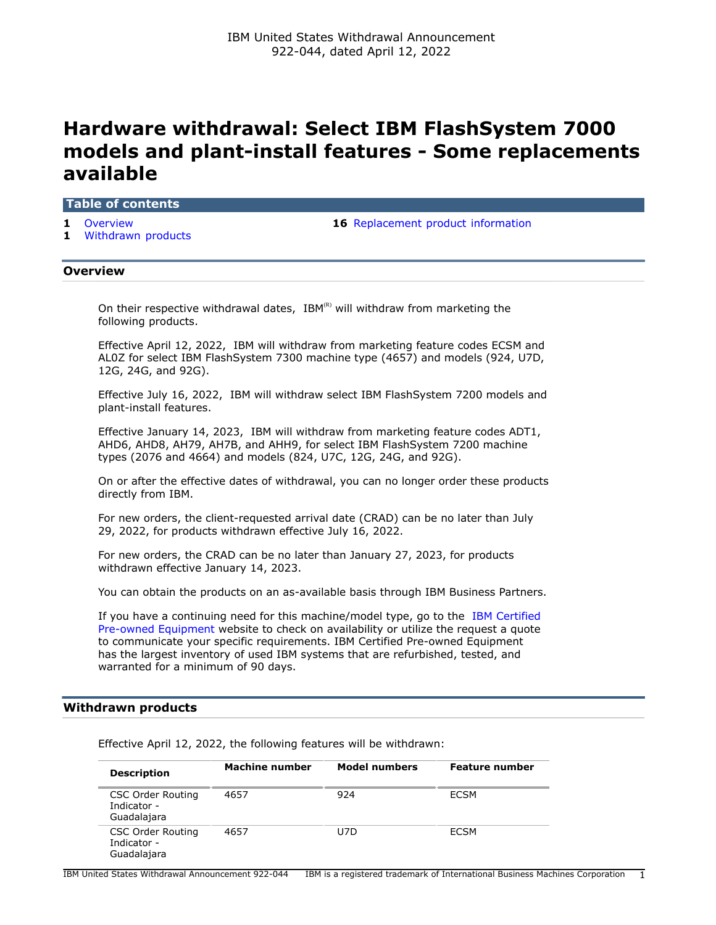# **Hardware withdrawal: Select IBM FlashSystem 7000 models and plant-install features - Some replacements available**

## **Table of contents**

- 
- **1** [Withdrawn products](#page-0-1)

**1** [Overview](#page-0-0) **16** [Replacement product information](#page-15-0)

## <span id="page-0-0"></span>**Overview**

On their respective withdrawal dates,  $IBM<sup>(R)</sup>$  will withdraw from marketing the following products.

Effective April 12, 2022, IBM will withdraw from marketing feature codes ECSM and AL0Z for select IBM FlashSystem 7300 machine type (4657) and models (924, U7D, 12G, 24G, and 92G).

Effective July 16, 2022, IBM will withdraw select IBM FlashSystem 7200 models and plant-install features.

Effective January 14, 2023, IBM will withdraw from marketing feature codes ADT1, AHD6, AHD8, AH79, AH7B, and AHH9, for select IBM FlashSystem 7200 machine types (2076 and 4664) and models (824, U7C, 12G, 24G, and 92G).

On or after the effective dates of withdrawal, you can no longer order these products directly from IBM.

For new orders, the client-requested arrival date (CRAD) can be no later than July 29, 2022, for products withdrawn effective July 16, 2022.

For new orders, the CRAD can be no later than January 27, 2023, for products withdrawn effective January 14, 2023.

You can obtain the products on an as-available basis through IBM Business Partners.

If you have a continuing need for this machine/model type, go to the [IBM Certified](https://www.ibm.com/financing/pre-owned/ibm-certified-used-equipment) [Pre-owned Equipment](https://www.ibm.com/financing/pre-owned/ibm-certified-used-equipment) website to check on availability or utilize the request a quote to communicate your specific requirements. IBM Certified Pre-owned Equipment has the largest inventory of used IBM systems that are refurbished, tested, and warranted for a minimum of 90 days.

## <span id="page-0-1"></span>**Withdrawn products**

Effective April 12, 2022, the following features will be withdrawn:

| <b>Description</b>                                     | <b>Machine number</b> | <b>Model numbers</b> | <b>Feature number</b> |
|--------------------------------------------------------|-----------------------|----------------------|-----------------------|
| <b>CSC Order Routing</b><br>Indicator -<br>Guadalajara | 4657                  | 924                  | <b>ECSM</b>           |
| <b>CSC Order Routing</b><br>Indicator -<br>Guadalajara | 4657                  | U7D                  | ECSM                  |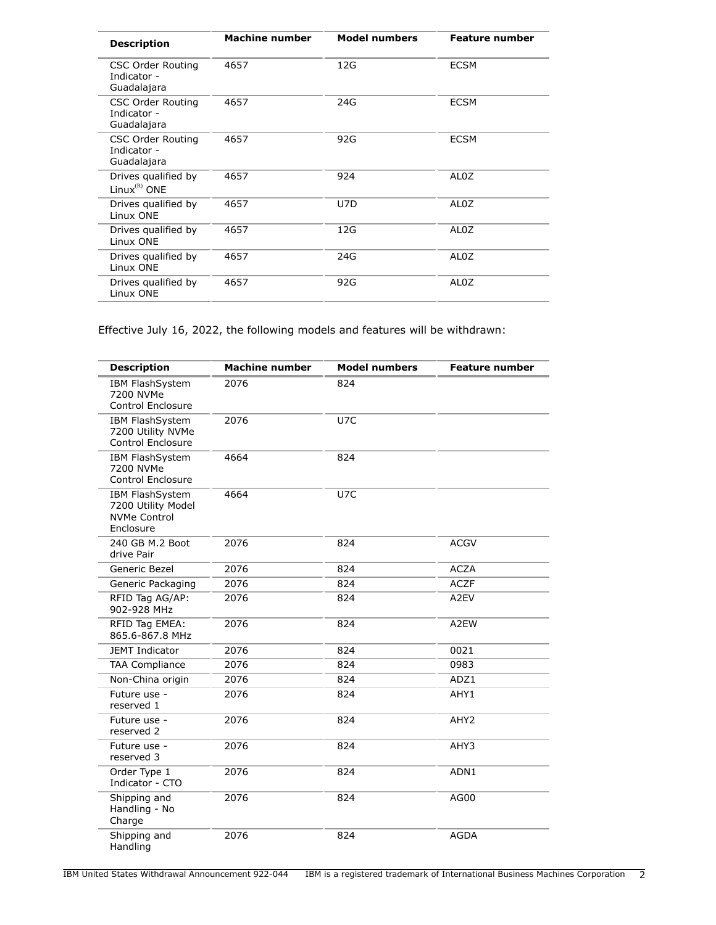| <b>Description</b>                                     | <b>Machine number</b> | <b>Model numbers</b> | <b>Feature number</b> |
|--------------------------------------------------------|-----------------------|----------------------|-----------------------|
| <b>CSC Order Routing</b><br>Indicator -<br>Guadalajara | 4657                  | 12G                  | <b>ECSM</b>           |
| <b>CSC Order Routing</b><br>Indicator -<br>Guadalajara | 4657                  | 24G                  | <b>ECSM</b>           |
| <b>CSC Order Routing</b><br>Indicator -<br>Guadalajara | 4657                  | 92G                  | <b>ECSM</b>           |
| Drives qualified by<br>Linux ${}^{(R)}$ ONE            | 4657                  | 924                  | AL0Z                  |
| Drives qualified by<br>Linux ONE                       | 4657                  | U7D                  | AL <sub>0</sub> Z     |
| Drives qualified by<br>Linux ONE                       | 4657                  | 12G                  | AL0Z                  |
| Drives qualified by<br>Linux ONE                       | 4657                  | 24G                  | AL <sub>0</sub> Z     |
| Drives qualified by<br>Linux ONE                       | 4657                  | 92G                  | AL0Z                  |

Effective July 16, 2022, the following models and features will be withdrawn:

| <b>Description</b>                                                        | <b>Machine number</b> | <b>Model numbers</b> | <b>Feature number</b> |
|---------------------------------------------------------------------------|-----------------------|----------------------|-----------------------|
| IBM FlashSystem<br>7200 NVMe<br><b>Control Enclosure</b>                  | 2076                  | 824                  |                       |
| <b>IBM FlashSystem</b><br>7200 Utility NVMe<br><b>Control Enclosure</b>   | 2076                  | U7C                  |                       |
| IBM FlashSystem<br>7200 NVMe<br>Control Enclosure                         | 4664                  | 824                  |                       |
| IBM FlashSystem<br>7200 Utility Model<br><b>NVMe Control</b><br>Enclosure | 4664                  | U7C                  |                       |
| 240 GB M.2 Boot<br>drive Pair                                             | 2076                  | 824                  | <b>ACGV</b>           |
| Generic Bezel                                                             | 2076                  | 824                  | <b>ACZA</b>           |
| Generic Packaging                                                         | 2076                  | 824                  | <b>ACZF</b>           |
| RFID Tag AG/AP:<br>902-928 MHz                                            | 2076                  | 824                  | A2EV                  |
| RFID Tag EMEA:<br>865.6-867.8 MHz                                         | 2076                  | 824                  | A2EW                  |
| <b>JEMT Indicator</b>                                                     | 2076                  | 824                  | 0021                  |
| <b>TAA Compliance</b>                                                     | 2076                  | 824                  | 0983                  |
| Non-China origin                                                          | 2076                  | 824                  | ADZ1                  |
| Future use -<br>reserved 1                                                | 2076                  | 824                  | AHY1                  |
| Future use -<br>reserved 2                                                | 2076                  | 824                  | AHY <sub>2</sub>      |
| Future use -<br>reserved 3                                                | 2076                  | 824                  | AHY3                  |
| Order Type 1<br>Indicator - CTO                                           | 2076                  | 824                  | ADN1                  |
| Shipping and<br>Handling - No<br>Charge                                   | 2076                  | 824                  | AG00                  |
| Shipping and<br>Handling                                                  | 2076                  | 824                  | <b>AGDA</b>           |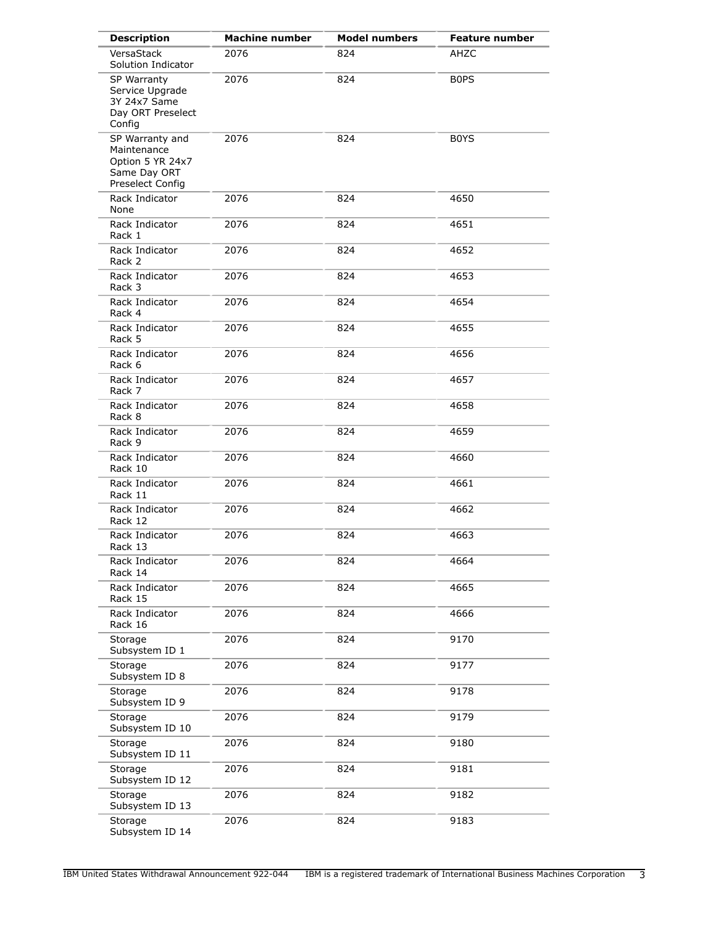| <b>Description</b>                                                                     | <b>Machine number</b> | <b>Model numbers</b> | <b>Feature number</b> |
|----------------------------------------------------------------------------------------|-----------------------|----------------------|-----------------------|
| VersaStack<br>Solution Indicator                                                       | 2076                  | 824                  | AHZC                  |
| SP Warranty<br>Service Upgrade<br>3Y 24x7 Same<br>Day ORT Preselect<br>Config          | 2076                  | 824                  | <b>BOPS</b>           |
| SP Warranty and<br>Maintenance<br>Option 5 YR 24x7<br>Same Day ORT<br>Preselect Config | 2076                  | 824                  | B0YS                  |
| Rack Indicator<br>None                                                                 | 2076                  | 824                  | 4650                  |
| Rack Indicator<br>Rack 1                                                               | 2076                  | 824                  | 4651                  |
| Rack Indicator<br>Rack 2                                                               | 2076                  | 824                  | 4652                  |
| Rack Indicator<br>Rack 3                                                               | 2076                  | 824                  | 4653                  |
| Rack Indicator<br>Rack 4                                                               | 2076                  | 824                  | 4654                  |
| Rack Indicator<br>Rack 5                                                               | 2076                  | 824                  | 4655                  |
| Rack Indicator<br>Rack 6                                                               | 2076                  | 824                  | 4656                  |
| Rack Indicator<br>Rack 7                                                               | 2076                  | 824                  | 4657                  |
| Rack Indicator<br>Rack 8                                                               | 2076                  | 824                  | 4658                  |
| Rack Indicator<br>Rack 9                                                               | 2076                  | 824                  | 4659                  |
| Rack Indicator<br>Rack 10                                                              | 2076                  | 824                  | 4660                  |
| Rack Indicator<br>Rack 11                                                              | 2076                  | 824                  | 4661                  |
| Rack Indicator<br>Rack 12                                                              | 2076                  | 824                  | 4662                  |
| Rack Indicator<br>Rack 13                                                              | 2076                  | 824                  | 4663                  |
| Rack Indicator<br>Rack 14                                                              | 2076                  | 824                  | 4664                  |
| Rack Indicator<br>Rack 15                                                              | 2076                  | 824                  | 4665                  |
| Rack Indicator<br>Rack 16                                                              | 2076                  | 824                  | 4666                  |
| Storage<br>Subsystem ID 1                                                              | 2076                  | 824                  | 9170                  |
| Storage<br>Subsystem ID 8                                                              | 2076                  | 824                  | 9177                  |
| Storage<br>Subsystem ID 9                                                              | 2076                  | 824                  | 9178                  |
| Storage<br>Subsystem ID 10                                                             | 2076                  | 824                  | 9179                  |
| Storage<br>Subsystem ID 11                                                             | 2076                  | 824                  | 9180                  |
| Storage<br>Subsystem ID 12                                                             | 2076                  | 824                  | 9181                  |
| Storage<br>Subsystem ID 13                                                             | 2076                  | 824                  | 9182                  |
| Storage<br>Subsystem ID 14                                                             | 2076                  | 824                  | 9183                  |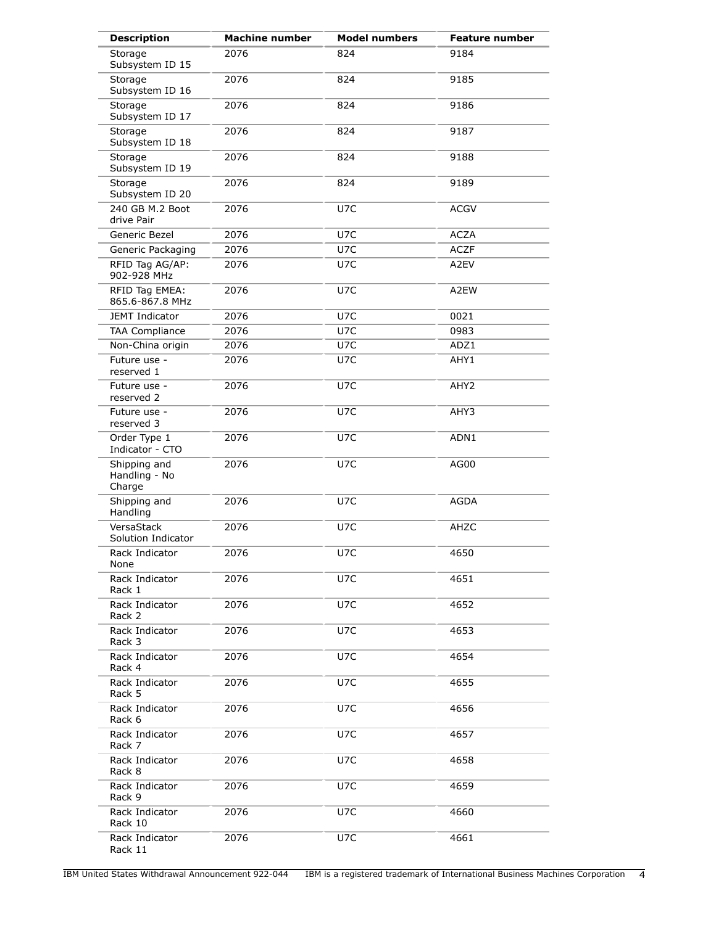| <b>Description</b>                      | <b>Machine number</b> | <b>Model numbers</b> | <b>Feature number</b> |
|-----------------------------------------|-----------------------|----------------------|-----------------------|
| Storage<br>Subsystem ID 15              | 2076                  | 824                  | 9184                  |
| Storage<br>Subsystem ID 16              | 2076                  | 824                  | 9185                  |
| Storage<br>Subsystem ID 17              | 2076                  | 824                  | 9186                  |
| Storage<br>Subsystem ID 18              | 2076                  | 824                  | 9187                  |
| Storage<br>Subsystem ID 19              | 2076                  | 824                  | 9188                  |
| Storage<br>Subsystem ID 20              | 2076                  | 824                  | 9189                  |
| 240 GB M.2 Boot<br>drive Pair           | 2076                  | U7C                  | <b>ACGV</b>           |
| Generic Bezel                           | 2076                  | U7C                  | <b>ACZA</b>           |
| Generic Packaging                       | 2076                  | U7C                  | <b>ACZF</b>           |
| RFID Tag AG/AP:<br>902-928 MHz          | 2076                  | U7C                  | A2EV                  |
| RFID Tag EMEA:<br>865.6-867.8 MHz       | 2076                  | U7C                  | A2EW                  |
| <b>JEMT Indicator</b>                   | 2076                  | U7C                  | 0021                  |
| <b>TAA Compliance</b>                   | 2076                  | U7C                  | 0983                  |
| Non-China origin                        | 2076                  | U7C                  | ADZ1                  |
| Future use -<br>reserved 1              | 2076                  | U7C                  | AHY1                  |
| Future use -<br>reserved 2              | 2076                  | U7C                  | AHY2                  |
| Future use -<br>reserved 3              | 2076                  | U7C                  | AHY3                  |
| Order Type 1<br>Indicator - CTO         | 2076                  | U7C                  | ADN1                  |
| Shipping and<br>Handling - No<br>Charge | 2076                  | U7C                  | AG00                  |
| Shipping and<br>Handling                | 2076                  | U7C                  | <b>AGDA</b>           |
| VersaStack<br>Solution Indicator        | 2076                  | U7C                  | AHZC                  |
| Rack Indicator<br>None                  | 2076                  | U7C                  | 4650                  |
| Rack Indicator<br>Rack 1                | 2076                  | U7C                  | 4651                  |
| Rack Indicator<br>Rack 2                | 2076                  | U7C                  | 4652                  |
| Rack Indicator<br>Rack 3                | 2076                  | U7C                  | 4653                  |
| Rack Indicator<br>Rack 4                | 2076                  | U7C                  | 4654                  |
| Rack Indicator<br>Rack 5                | 2076                  | U7C                  | 4655                  |
| Rack Indicator<br>Rack 6                | 2076                  | U7C                  | 4656                  |
| Rack Indicator<br>Rack 7                | 2076                  | U7C                  | 4657                  |
| Rack Indicator<br>Rack 8                | 2076                  | U7C                  | 4658                  |
| Rack Indicator<br>Rack 9                | 2076                  | U7C                  | 4659                  |
| Rack Indicator<br>Rack 10               | 2076                  | U7C                  | 4660                  |
| Rack Indicator<br>Rack 11               | 2076                  | U7C                  | 4661                  |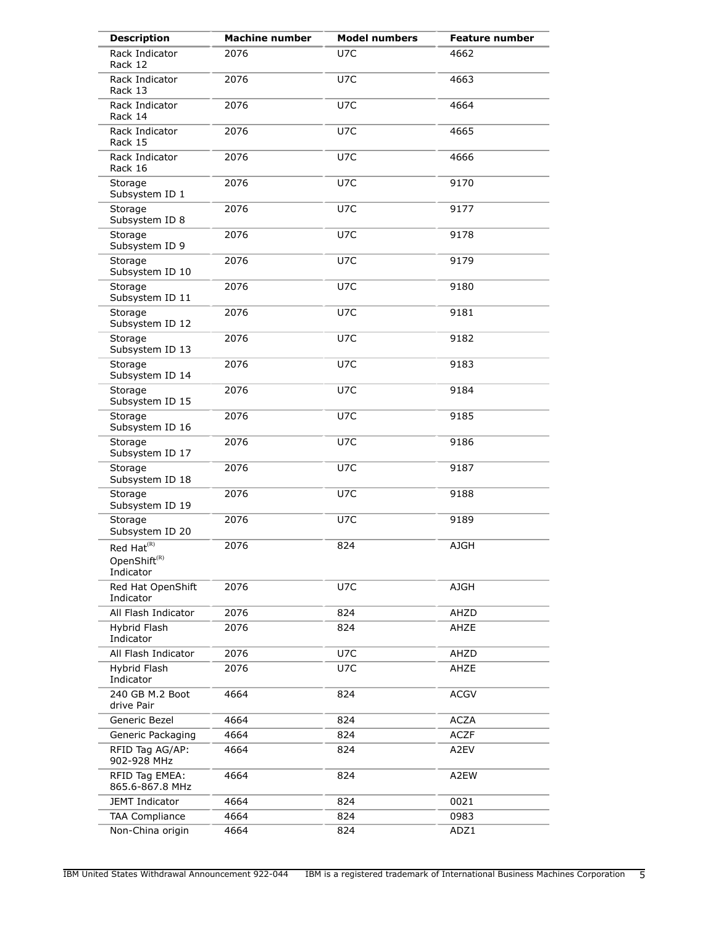| <b>Description</b>                                                                     | <b>Machine number</b> | <b>Model numbers</b> | <b>Feature number</b> |
|----------------------------------------------------------------------------------------|-----------------------|----------------------|-----------------------|
| Rack Indicator<br>Rack 12                                                              | 2076                  | U7C                  | 4662                  |
| Rack Indicator<br>Rack 13                                                              | 2076                  | U7C                  | 4663                  |
| Rack Indicator<br>Rack 14                                                              | 2076                  | U7C                  | 4664                  |
| Rack Indicator<br>Rack 15                                                              | 2076                  | U7C                  | 4665                  |
| Rack Indicator<br>Rack 16                                                              | 2076                  | U7C                  | 4666                  |
| Storage<br>Subsystem ID 1                                                              | 2076                  | U7C                  | 9170                  |
| Storage<br>Subsystem ID 8                                                              | 2076                  | U7C                  | 9177                  |
| Storage<br>Subsystem ID 9                                                              | 2076                  | U7C                  | 9178                  |
| Storage<br>Subsystem ID 10                                                             | 2076                  | U7C                  | 9179                  |
| Storage<br>Subsystem ID 11                                                             | 2076                  | U7C                  | 9180                  |
| Storage<br>Subsystem ID 12                                                             | 2076                  | U7C                  | 9181                  |
| Storage<br>Subsystem ID 13                                                             | 2076                  | U7C                  | 9182                  |
| Storage<br>Subsystem ID 14                                                             | 2076                  | U7C                  | 9183                  |
| Storage<br>Subsystem ID 15                                                             | 2076                  | U7C                  | 9184                  |
| Storage<br>Subsystem ID 16                                                             | 2076                  | U7C                  | 9185                  |
| Storage<br>Subsystem ID 17                                                             | 2076                  | U7C                  | 9186                  |
| Storage<br>Subsystem ID 18                                                             | 2076                  | U7C                  | 9187                  |
| Storage<br>Subsystem ID 19                                                             | 2076                  | U7C                  | 9188                  |
| Storage<br>Subsystem ID 20                                                             | 2076                  | U7C                  | 9189                  |
| Red Hat <sup>(R)</sup><br>OpenShift ${}^{\scriptscriptstyle(\mathrm{R})}$<br>Indicator | 2076                  | 824                  | <b>AJGH</b>           |
| Red Hat OpenShift<br>Indicator                                                         | 2076                  | U7C                  | <b>AJGH</b>           |
| All Flash Indicator                                                                    | 2076                  | 824                  | AHZD                  |
| Hybrid Flash<br>Indicator                                                              | 2076                  | 824                  | AHZE                  |
| All Flash Indicator                                                                    | 2076                  | U7C                  | AHZD                  |
| Hybrid Flash<br>Indicator                                                              | 2076                  | U7C                  | AHZE                  |
| 240 GB M.2 Boot<br>drive Pair                                                          | 4664                  | 824                  | <b>ACGV</b>           |
| Generic Bezel                                                                          | 4664                  | 824                  | <b>ACZA</b>           |
| Generic Packaging                                                                      | 4664                  | 824                  | <b>ACZF</b>           |
| RFID Tag AG/AP:<br>902-928 MHz                                                         | 4664                  | 824                  | A2EV                  |
| RFID Tag EMEA:<br>865.6-867.8 MHz                                                      | 4664                  | 824                  | A2EW                  |
| <b>JEMT Indicator</b>                                                                  | 4664                  | 824                  | 0021                  |
| <b>TAA Compliance</b>                                                                  | 4664                  | 824                  | 0983                  |
| Non-China origin                                                                       | 4664                  | 824                  | ADZ1                  |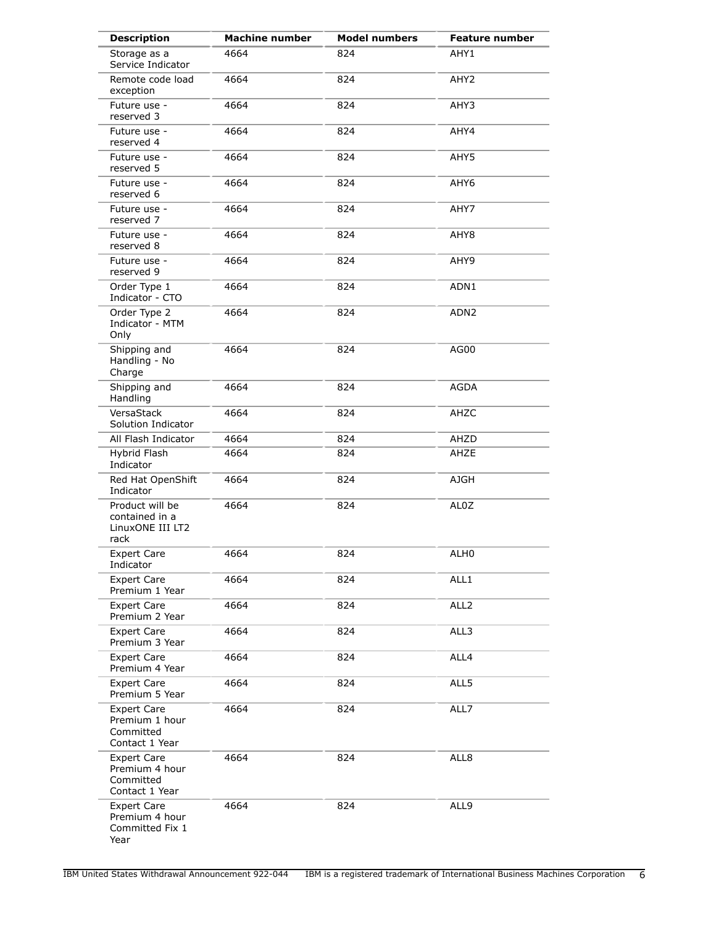| <b>Description</b>                                                  | <b>Machine number</b> | <b>Model numbers</b> | <b>Feature number</b> |
|---------------------------------------------------------------------|-----------------------|----------------------|-----------------------|
| Storage as a<br>Service Indicator                                   | 4664                  | 824                  | AHY1                  |
| Remote code load<br>exception                                       | 4664                  | 824                  | AHY <sub>2</sub>      |
| Future use -<br>reserved 3                                          | 4664                  | 824                  | AHY3                  |
| Future use -<br>reserved 4                                          | 4664                  | 824                  | AHY4                  |
| Future use -<br>reserved 5                                          | 4664                  | 824                  | AHY5                  |
| Future use -<br>reserved 6                                          | 4664                  | 824                  | AHY6                  |
| Future use -<br>reserved 7                                          | 4664                  | 824                  | AHY7                  |
| Future use -<br>reserved 8                                          | 4664                  | 824                  | AHY8                  |
| Future use -<br>reserved 9                                          | 4664                  | 824                  | AHY9                  |
| Order Type 1<br>Indicator - CTO                                     | 4664                  | 824                  | ADN1                  |
| Order Type 2<br>Indicator - MTM<br>Only                             | 4664                  | 824                  | ADN <sub>2</sub>      |
| Shipping and<br>Handling - No<br>Charge                             | 4664                  | 824                  | AG00                  |
| Shipping and<br>Handling                                            | 4664                  | 824                  | <b>AGDA</b>           |
| VersaStack<br>Solution Indicator                                    | 4664                  | 824                  | AHZC                  |
| All Flash Indicator                                                 | 4664                  | 824                  | AHZD                  |
| Hybrid Flash<br>Indicator                                           | 4664                  | 824                  | AHZE                  |
| Red Hat OpenShift<br>Indicator                                      | 4664                  | 824                  | AJGH                  |
| Product will be<br>contained in a<br>LinuxONE III LT2<br>rack       | 4664                  | 824                  | AL0Z                  |
| <b>Expert Care</b><br>Indicator                                     | 4664                  | 824                  | ALH0                  |
| <b>Expert Care</b><br>Premium 1 Year                                | 4664                  | 824                  | ALL1                  |
| <b>Expert Care</b><br>Premium 2 Year                                | 4664                  | 824                  | ALL <sub>2</sub>      |
| <b>Expert Care</b><br>Premium 3 Year                                | 4664                  | 824                  | ALL3                  |
| <b>Expert Care</b><br>Premium 4 Year                                | 4664                  | 824                  | ALL4                  |
| <b>Expert Care</b><br>Premium 5 Year                                | 4664                  | 824                  | ALL5                  |
| Expert Care<br>Premium 1 hour<br>Committed<br>Contact 1 Year        | 4664                  | 824                  | ALL7                  |
| <b>Expert Care</b><br>Premium 4 hour<br>Committed<br>Contact 1 Year | 4664                  | 824                  | ALL8                  |
| <b>Expert Care</b><br>Premium 4 hour<br>Committed Fix 1<br>Year     | 4664                  | 824                  | ALL9                  |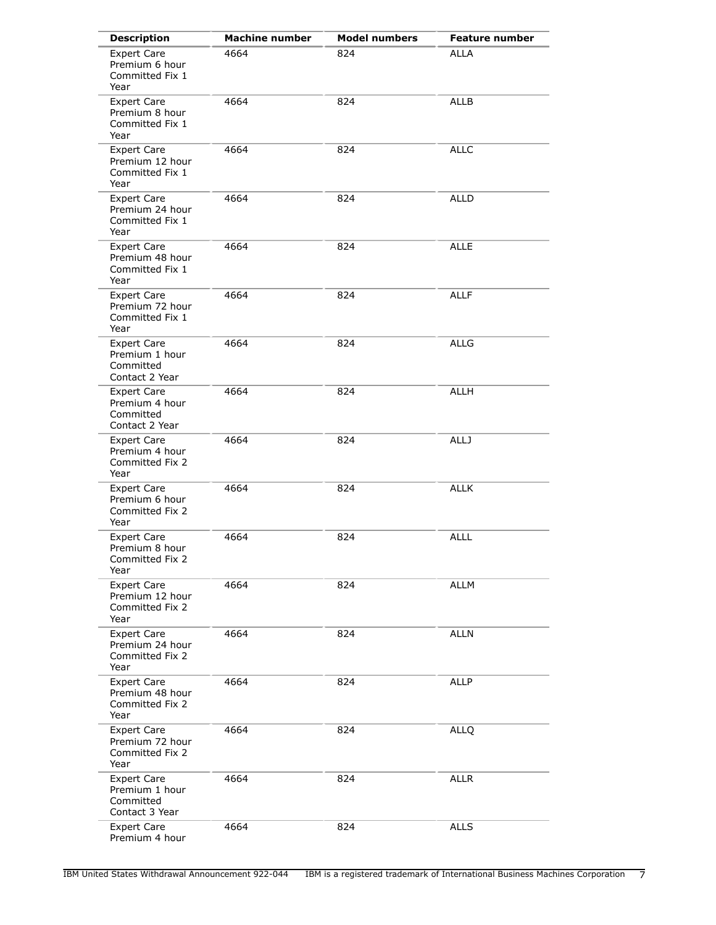| <b>Description</b>                                                  | <b>Machine number</b> | <b>Model numbers</b> | <b>Feature number</b> |
|---------------------------------------------------------------------|-----------------------|----------------------|-----------------------|
| <b>Expert Care</b><br>Premium 6 hour<br>Committed Fix 1<br>Year     | 4664                  | 824                  | <b>ALLA</b>           |
| <b>Expert Care</b><br>Premium 8 hour<br>Committed Fix 1<br>Year     | 4664                  | 824                  | <b>ALLB</b>           |
| <b>Expert Care</b><br>Premium 12 hour<br>Committed Fix 1<br>Year    | 4664                  | 824                  | <b>ALLC</b>           |
| <b>Expert Care</b><br>Premium 24 hour<br>Committed Fix 1<br>Year    | 4664                  | 824                  | <b>ALLD</b>           |
| <b>Expert Care</b><br>Premium 48 hour<br>Committed Fix 1<br>Year    | 4664                  | 824                  | <b>ALLE</b>           |
| <b>Expert Care</b><br>Premium 72 hour<br>Committed Fix 1<br>Year    | 4664                  | 824                  | <b>ALLF</b>           |
| <b>Expert Care</b><br>Premium 1 hour<br>Committed<br>Contact 2 Year | 4664                  | 824                  | <b>ALLG</b>           |
| <b>Expert Care</b><br>Premium 4 hour<br>Committed<br>Contact 2 Year | 4664                  | 824                  | <b>ALLH</b>           |
| <b>Expert Care</b><br>Premium 4 hour<br>Committed Fix 2<br>Year     | 4664                  | 824                  | <b>ALLJ</b>           |
| <b>Expert Care</b><br>Premium 6 hour<br>Committed Fix 2<br>Year     | 4664                  | 824                  | <b>ALLK</b>           |
| <b>Expert Care</b><br>Premium 8 hour<br>Committed Fix 2<br>Year     | 4664                  | 824                  | <b>ALLL</b>           |
| <b>Expert Care</b><br>Premium 12 hour<br>Committed Fix 2<br>Year    | 4664                  | 824                  | <b>ALLM</b>           |
| <b>Expert Care</b><br>Premium 24 hour<br>Committed Fix 2<br>Year    | 4664                  | 824                  | <b>ALLN</b>           |
| <b>Expert Care</b><br>Premium 48 hour<br>Committed Fix 2<br>Year    | 4664                  | 824                  | <b>ALLP</b>           |
| <b>Expert Care</b><br>Premium 72 hour<br>Committed Fix 2<br>Year    | 4664                  | 824                  | <b>ALLQ</b>           |
| <b>Expert Care</b><br>Premium 1 hour<br>Committed<br>Contact 3 Year | 4664                  | 824                  | <b>ALLR</b>           |
| <b>Expert Care</b><br>Premium 4 hour                                | 4664                  | 824                  | <b>ALLS</b>           |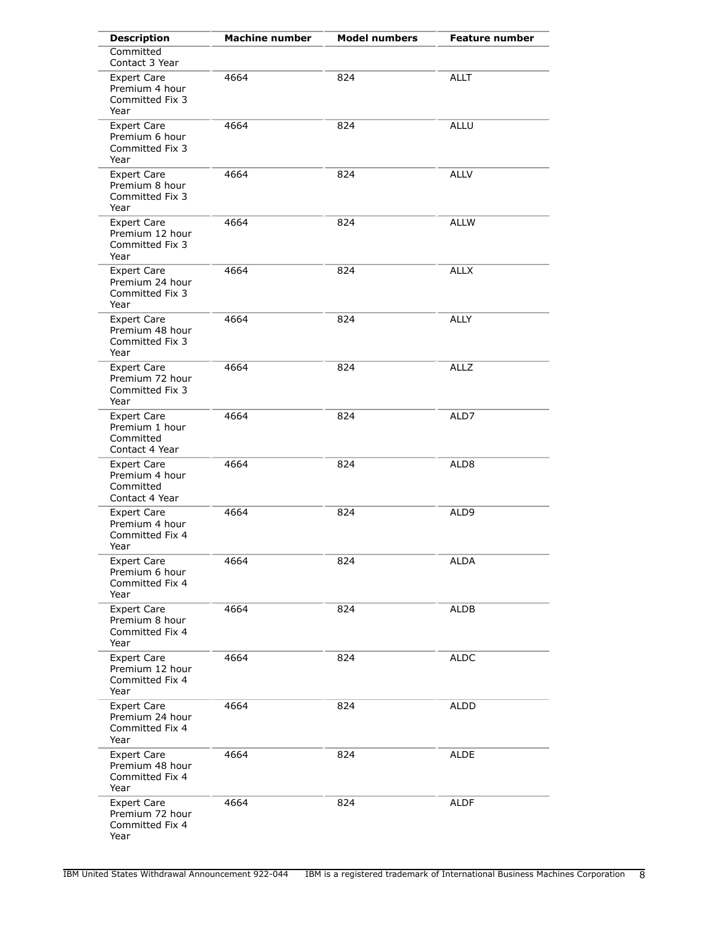| <b>Description</b>                                                  | <b>Machine number</b> | <b>Model numbers</b> | <b>Feature number</b> |
|---------------------------------------------------------------------|-----------------------|----------------------|-----------------------|
| Committed<br>Contact 3 Year                                         |                       |                      |                       |
| <b>Expert Care</b><br>Premium 4 hour<br>Committed Fix 3<br>Year     | 4664                  | 824                  | <b>ALLT</b>           |
| <b>Expert Care</b><br>Premium 6 hour<br>Committed Fix 3<br>Year     | 4664                  | 824                  | <b>ALLU</b>           |
| <b>Expert Care</b><br>Premium 8 hour<br>Committed Fix 3<br>Year     | 4664                  | 824                  | <b>ALLV</b>           |
| <b>Expert Care</b><br>Premium 12 hour<br>Committed Fix 3<br>Year    | 4664                  | 824                  | <b>ALLW</b>           |
| <b>Expert Care</b><br>Premium 24 hour<br>Committed Fix 3<br>Year    | 4664                  | 824                  | <b>ALLX</b>           |
| <b>Expert Care</b><br>Premium 48 hour<br>Committed Fix 3<br>Year    | 4664                  | 824                  | <b>ALLY</b>           |
| <b>Expert Care</b><br>Premium 72 hour<br>Committed Fix 3<br>Year    | 4664                  | 824                  | <b>ALLZ</b>           |
| <b>Expert Care</b><br>Premium 1 hour<br>Committed<br>Contact 4 Year | 4664                  | 824                  | ALD7                  |
| <b>Expert Care</b><br>Premium 4 hour<br>Committed<br>Contact 4 Year | 4664                  | 824                  | ALD8                  |
| <b>Expert Care</b><br>Premium 4 hour<br>Committed Fix 4<br>Year     | 4664                  | 824                  | ALD9                  |
| <b>Expert Care</b><br>Premium 6 hour<br>Committed Fix 4<br>Year     | 4664                  | 824                  | <b>ALDA</b>           |
| <b>Expert Care</b><br>Premium 8 hour<br>Committed Fix 4<br>Year     | 4664                  | 824                  | ALDB                  |
| <b>Expert Care</b><br>Premium 12 hour<br>Committed Fix 4<br>Year    | 4664                  | 824                  | <b>ALDC</b>           |
| <b>Expert Care</b><br>Premium 24 hour<br>Committed Fix 4<br>Year    | 4664                  | 824                  | ALDD                  |
| <b>Expert Care</b><br>Premium 48 hour<br>Committed Fix 4<br>Year    | 4664                  | 824                  | ALDE                  |
| <b>Expert Care</b><br>Premium 72 hour<br>Committed Fix 4<br>Year    | 4664                  | 824                  | ALDF                  |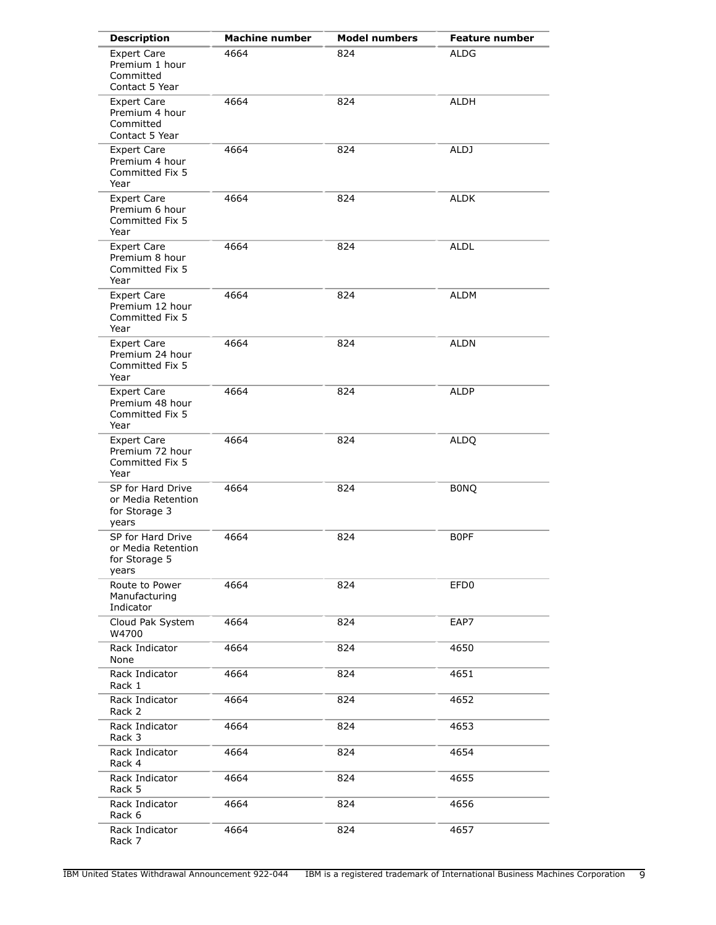| <b>Description</b>                                                  | <b>Machine number</b> | <b>Model numbers</b> | <b>Feature number</b> |
|---------------------------------------------------------------------|-----------------------|----------------------|-----------------------|
| <b>Expert Care</b><br>Premium 1 hour<br>Committed<br>Contact 5 Year | 4664                  | 824                  | <b>ALDG</b>           |
| <b>Expert Care</b><br>Premium 4 hour<br>Committed<br>Contact 5 Year | 4664                  | 824                  | ALDH                  |
| <b>Expert Care</b><br>Premium 4 hour<br>Committed Fix 5<br>Year     | 4664                  | 824                  | ALDJ                  |
| <b>Expert Care</b><br>Premium 6 hour<br>Committed Fix 5<br>Year     | 4664                  | 824                  | <b>ALDK</b>           |
| <b>Expert Care</b><br>Premium 8 hour<br>Committed Fix 5<br>Year     | 4664                  | 824                  | <b>ALDL</b>           |
| <b>Expert Care</b><br>Premium 12 hour<br>Committed Fix 5<br>Year    | 4664                  | 824                  | <b>ALDM</b>           |
| <b>Expert Care</b><br>Premium 24 hour<br>Committed Fix 5<br>Year    | 4664                  | 824                  | <b>ALDN</b>           |
| <b>Expert Care</b><br>Premium 48 hour<br>Committed Fix 5<br>Year    | 4664                  | 824                  | <b>ALDP</b>           |
| <b>Expert Care</b><br>Premium 72 hour<br>Committed Fix 5<br>Year    | 4664                  | 824                  | <b>ALDQ</b>           |
| SP for Hard Drive<br>or Media Retention<br>for Storage 3<br>years   | 4664                  | 824                  | <b>BONQ</b>           |
| SP for Hard Drive<br>or Media Retention<br>for Storage 5<br>years   | 4664                  | 824                  | <b>BOPF</b>           |
| Route to Power<br>Manufacturing<br>Indicator                        | 4664                  | 824                  | EFD <sub>0</sub>      |
| Cloud Pak System<br>W4700                                           | 4664                  | 824                  | EAP7                  |
| Rack Indicator<br>None                                              | 4664                  | 824                  | 4650                  |
| Rack Indicator<br>Rack 1                                            | 4664                  | 824                  | 4651                  |
| Rack Indicator<br>Rack 2                                            | 4664                  | 824                  | 4652                  |
| Rack Indicator<br>Rack 3                                            | 4664                  | 824                  | 4653                  |
| Rack Indicator<br>Rack 4                                            | 4664                  | 824                  | 4654                  |
| Rack Indicator<br>Rack 5                                            | 4664                  | 824                  | 4655                  |
| Rack Indicator<br>Rack 6                                            | 4664                  | 824                  | 4656                  |
| Rack Indicator<br>Rack 7                                            | 4664                  | 824                  | 4657                  |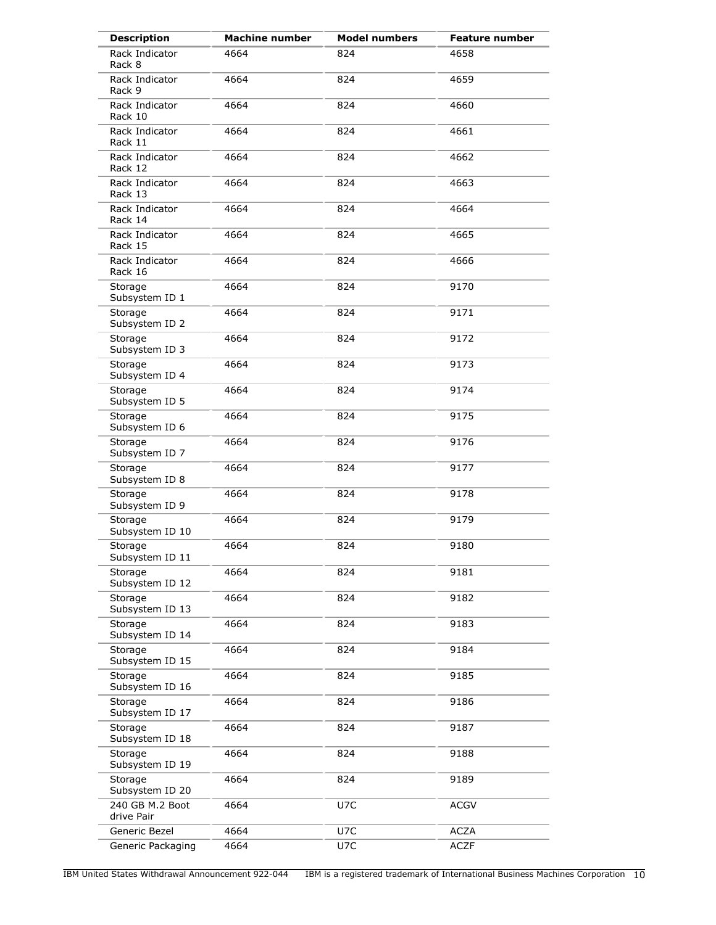| <b>Description</b>            | <b>Machine number</b> | <b>Model numbers</b> | <b>Feature number</b> |
|-------------------------------|-----------------------|----------------------|-----------------------|
| Rack Indicator<br>Rack 8      | 4664                  | 824                  | 4658                  |
| Rack Indicator<br>Rack 9      | 4664                  | 824                  | 4659                  |
| Rack Indicator<br>Rack 10     | 4664                  | 824                  | 4660                  |
| Rack Indicator<br>Rack 11     | 4664                  | 824                  | 4661                  |
| Rack Indicator<br>Rack 12     | 4664                  | 824                  | 4662                  |
| Rack Indicator<br>Rack 13     | 4664                  | 824                  | 4663                  |
| Rack Indicator<br>Rack 14     | 4664                  | 824                  | 4664                  |
| Rack Indicator<br>Rack 15     | 4664                  | 824                  | 4665                  |
| Rack Indicator<br>Rack 16     | 4664                  | 824                  | 4666                  |
| Storage<br>Subsystem ID 1     | 4664                  | 824                  | 9170                  |
| Storage<br>Subsystem ID 2     | 4664                  | 824                  | 9171                  |
| Storage<br>Subsystem ID 3     | 4664                  | 824                  | 9172                  |
| Storage<br>Subsystem ID 4     | 4664                  | 824                  | 9173                  |
| Storage<br>Subsystem ID 5     | 4664                  | 824                  | 9174                  |
| Storage<br>Subsystem ID 6     | 4664                  | 824                  | 9175                  |
| Storage<br>Subsystem ID 7     | 4664                  | 824                  | 9176                  |
| Storage<br>Subsystem ID 8     | 4664                  | 824                  | 9177                  |
| Storage<br>Subsystem ID 9     | 4664                  | 824                  | 9178                  |
| Storage<br>Subsystem ID 10    | 4664                  | 824                  | 9179                  |
| Storage<br>Subsystem ID 11    | 4664                  | 824                  | 9180                  |
| Storage<br>Subsystem ID 12    | 4664                  | 824                  | 9181                  |
| Storage<br>Subsystem ID 13    | 4664                  | 824                  | 9182                  |
| Storage<br>Subsystem ID 14    | 4664                  | 824                  | 9183                  |
| Storage<br>Subsystem ID 15    | 4664                  | 824                  | 9184                  |
| Storage<br>Subsystem ID 16    | 4664                  | 824                  | 9185                  |
| Storage<br>Subsystem ID 17    | 4664                  | 824                  | 9186                  |
| Storage<br>Subsystem ID 18    | 4664                  | 824                  | 9187                  |
| Storage<br>Subsystem ID 19    | 4664                  | 824                  | 9188                  |
| Storage<br>Subsystem ID 20    | 4664                  | 824                  | 9189                  |
| 240 GB M.2 Boot<br>drive Pair | 4664                  | U7C                  | <b>ACGV</b>           |
| Generic Bezel                 | 4664                  | U7C                  | <b>ACZA</b>           |
| Generic Packaging             | 4664                  | U7C                  | <b>ACZF</b>           |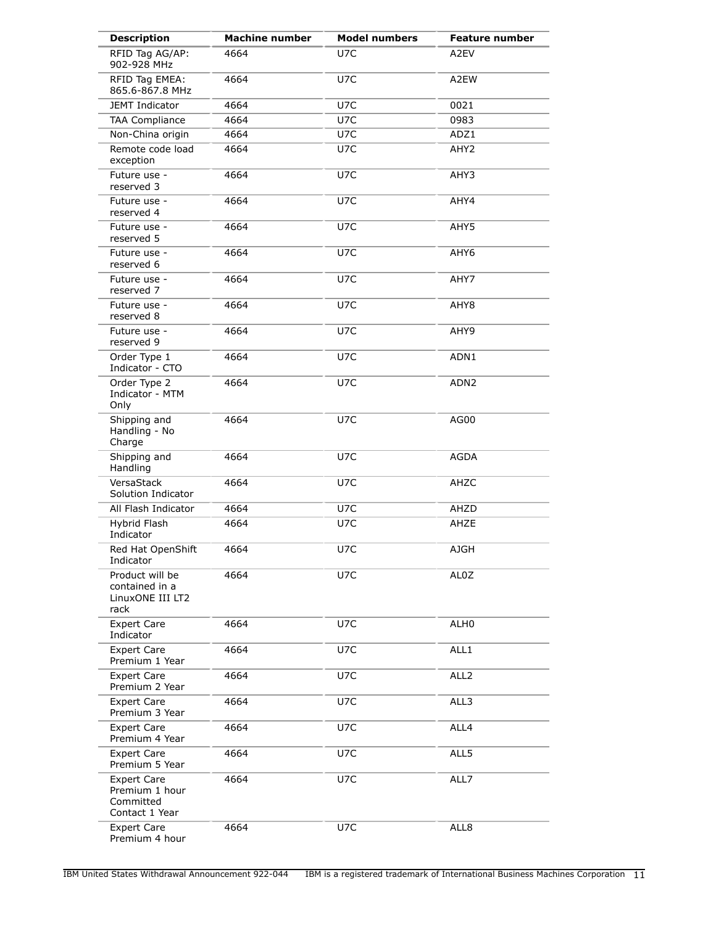| <b>Description</b>                                                  | <b>Machine number</b> | <b>Model numbers</b> | <b>Feature number</b> |
|---------------------------------------------------------------------|-----------------------|----------------------|-----------------------|
| RFID Tag AG/AP:<br>902-928 MHz                                      | 4664                  | U7C                  | A2EV                  |
| RFID Tag EMEA:<br>865.6-867.8 MHz                                   | 4664                  | U7C                  | A2EW                  |
| <b>JEMT Indicator</b>                                               | 4664                  | U7C                  | 0021                  |
| TAA Compliance                                                      | 4664                  | U7C                  | 0983                  |
| Non-China origin                                                    | 4664                  | U7C                  | ADZ1                  |
| Remote code load<br>exception                                       | 4664                  | U7C                  | AHY2                  |
| Future use -<br>reserved 3                                          | 4664                  | U7C                  | AHY3                  |
| Future use -<br>reserved 4                                          | 4664                  | U7C                  | AHY4                  |
| Future use -<br>reserved 5                                          | 4664                  | U7C                  | AHY5                  |
| Future use -<br>reserved 6                                          | 4664                  | U7C                  | AHY6                  |
| Future use -<br>reserved 7                                          | 4664                  | U7C                  | AHY7                  |
| Future use -<br>reserved 8                                          | 4664                  | U7C                  | AHY8                  |
| Future use -<br>reserved 9                                          | 4664                  | U7C                  | AHY9                  |
| Order Type 1<br>Indicator - CTO                                     | 4664                  | U7C                  | ADN1                  |
| Order Type 2<br>Indicator - MTM<br>Only                             | 4664                  | U7C                  | ADN <sub>2</sub>      |
| Shipping and<br>Handling - No<br>Charge                             | 4664                  | U7C                  | AG00                  |
| Shipping and<br>Handling                                            | 4664                  | U7C                  | AGDA                  |
| VersaStack<br>Solution Indicator                                    | 4664                  | U7C                  | AHZC                  |
| All Flash Indicator                                                 | 4664                  | U7C                  | AHZD                  |
| Hybrid Flash<br>Indicator                                           | 4664                  | U7C                  | AHZE                  |
| Red Hat OpenShift<br>Indicator                                      | 4664                  | U7C                  | <b>AJGH</b>           |
| Product will be<br>contained in a<br>LinuxONE III LT2<br>rack       | 4664                  | U7C                  | AL0Z                  |
| <b>Expert Care</b><br>Indicator                                     | 4664                  | U7C                  | ALH0                  |
| <b>Expert Care</b><br>Premium 1 Year                                | 4664                  | U7C                  | ALL1                  |
| Expert Care<br>Premium 2 Year                                       | 4664                  | U7C                  | ALL <sub>2</sub>      |
| <b>Expert Care</b><br>Premium 3 Year                                | 4664                  | U7C                  | ALL3                  |
| <b>Expert Care</b><br>Premium 4 Year                                | 4664                  | U7C                  | ALL4                  |
| <b>Expert Care</b><br>Premium 5 Year                                | 4664                  | U7C                  | ALL5                  |
| <b>Expert Care</b><br>Premium 1 hour<br>Committed<br>Contact 1 Year | 4664                  | U7C                  | ALL7                  |
| <b>Expert Care</b><br>Premium 4 hour                                | 4664                  | U7C                  | ALL8                  |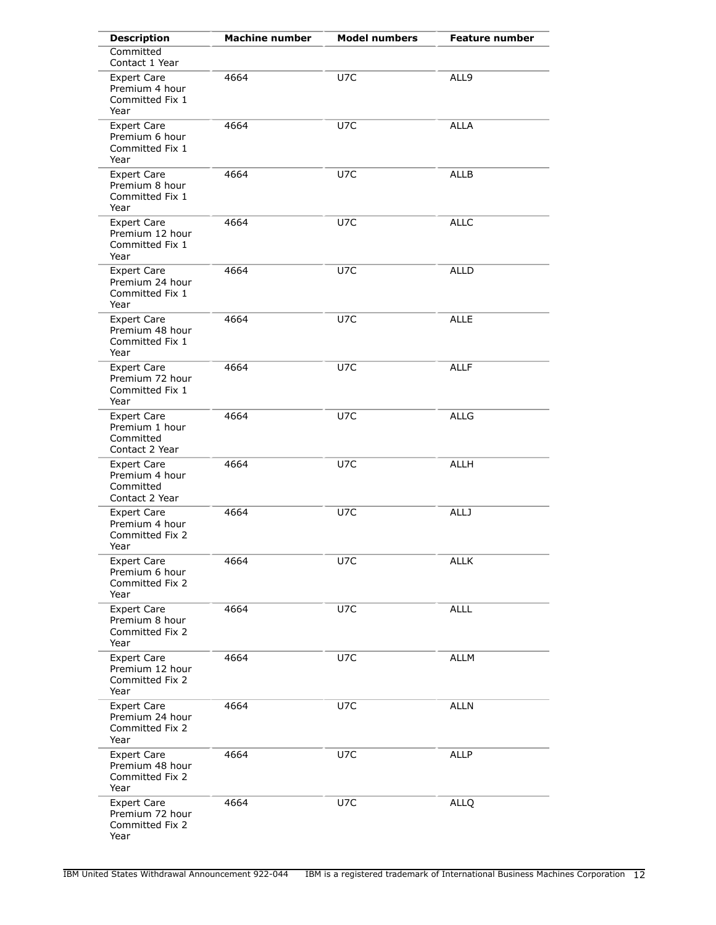| <b>Description</b>                                                  | <b>Machine number</b> | <b>Model numbers</b> | <b>Feature number</b> |
|---------------------------------------------------------------------|-----------------------|----------------------|-----------------------|
| Committed<br>Contact 1 Year                                         |                       |                      |                       |
| <b>Expert Care</b><br>Premium 4 hour<br>Committed Fix 1<br>Year     | 4664                  | U7C                  | ALL9                  |
| Expert Care<br>Premium 6 hour<br>Committed Fix 1<br>Year            | 4664                  | U7C                  | <b>ALLA</b>           |
| <b>Expert Care</b><br>Premium 8 hour<br>Committed Fix 1<br>Year     | 4664                  | U7C                  | <b>ALLB</b>           |
| <b>Expert Care</b><br>Premium 12 hour<br>Committed Fix 1<br>Year    | 4664                  | U7C                  | <b>ALLC</b>           |
| <b>Expert Care</b><br>Premium 24 hour<br>Committed Fix 1<br>Year    | 4664                  | U7C                  | <b>ALLD</b>           |
| <b>Expert Care</b><br>Premium 48 hour<br>Committed Fix 1<br>Year    | 4664                  | U7C                  | <b>ALLE</b>           |
| <b>Expert Care</b><br>Premium 72 hour<br>Committed Fix 1<br>Year    | 4664                  | U7C                  | <b>ALLF</b>           |
| <b>Expert Care</b><br>Premium 1 hour<br>Committed<br>Contact 2 Year | 4664                  | U7C                  | <b>ALLG</b>           |
| <b>Expert Care</b><br>Premium 4 hour<br>Committed<br>Contact 2 Year | 4664                  | U7C                  | <b>ALLH</b>           |
| <b>Expert Care</b><br>Premium 4 hour<br>Committed Fix 2<br>Year     | 4664                  | U7C                  | <b>ALLJ</b>           |
| <b>Expert Care</b><br>Premium 6 hour<br>Committed Fix 2<br>Year     | 4664                  | U7C                  | <b>ALLK</b>           |
| <b>Expert Care</b><br>Premium 8 hour<br>Committed Fix 2<br>Year     | 4664                  | U7C                  | <b>ALLL</b>           |
| <b>Expert Care</b><br>Premium 12 hour<br>Committed Fix 2<br>Year    | 4664                  | U7C                  | <b>ALLM</b>           |
| <b>Expert Care</b><br>Premium 24 hour<br>Committed Fix 2<br>Year    | 4664                  | U7C                  | <b>ALLN</b>           |
| <b>Expert Care</b><br>Premium 48 hour<br>Committed Fix 2<br>Year    | 4664                  | U7C                  | ALLP                  |
| <b>Expert Care</b><br>Premium 72 hour<br>Committed Fix 2<br>Year    | 4664                  | U7C                  | <b>ALLQ</b>           |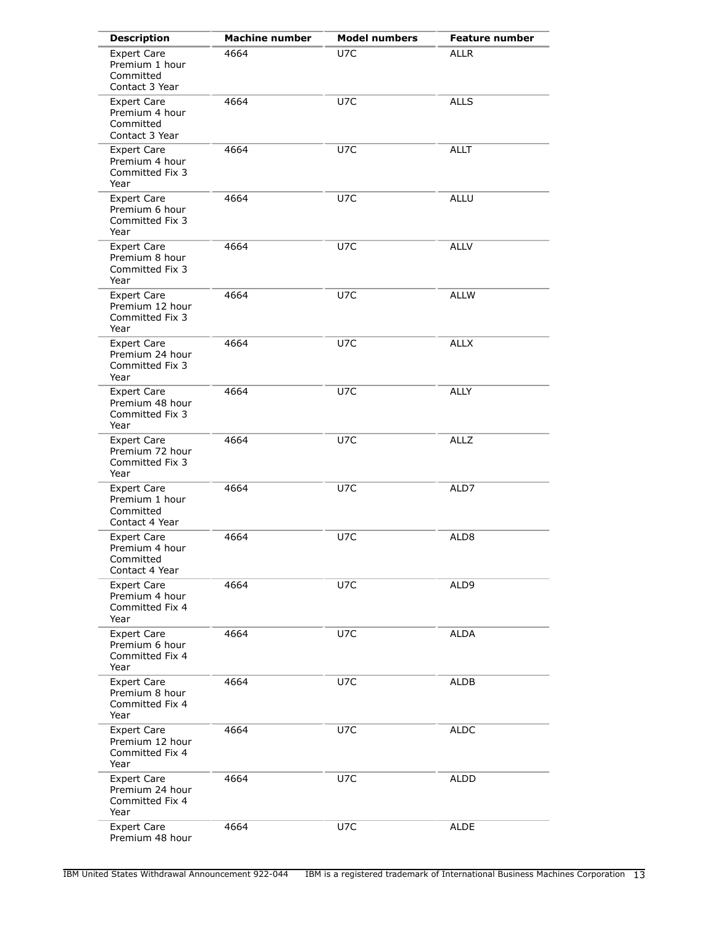| <b>Description</b>                                                  | <b>Machine number</b> | <b>Model numbers</b> | <b>Feature number</b> |
|---------------------------------------------------------------------|-----------------------|----------------------|-----------------------|
| <b>Expert Care</b><br>Premium 1 hour<br>Committed<br>Contact 3 Year | 4664                  | U7C                  | <b>ALLR</b>           |
| <b>Expert Care</b><br>Premium 4 hour<br>Committed<br>Contact 3 Year | 4664                  | U7C                  | <b>ALLS</b>           |
| Expert Care<br>Premium 4 hour<br>Committed Fix 3<br>Year            | 4664                  | U7C                  | <b>ALLT</b>           |
| <b>Expert Care</b><br>Premium 6 hour<br>Committed Fix 3<br>Year     | 4664                  | U7C                  | <b>ALLU</b>           |
| <b>Expert Care</b><br>Premium 8 hour<br>Committed Fix 3<br>Year     | 4664                  | U7C                  | <b>ALLV</b>           |
| <b>Expert Care</b><br>Premium 12 hour<br>Committed Fix 3<br>Year    | 4664                  | U7C                  | <b>ALLW</b>           |
| <b>Expert Care</b><br>Premium 24 hour<br>Committed Fix 3<br>Year    | 4664                  | U7C                  | <b>ALLX</b>           |
| <b>Expert Care</b><br>Premium 48 hour<br>Committed Fix 3<br>Year    | 4664                  | U7C                  | <b>ALLY</b>           |
| <b>Expert Care</b><br>Premium 72 hour<br>Committed Fix 3<br>Year    | 4664                  | U7C                  | <b>ALLZ</b>           |
| <b>Expert Care</b><br>Premium 1 hour<br>Committed<br>Contact 4 Year | 4664                  | U7C                  | ALD7                  |
| <b>Expert Care</b><br>Premium 4 hour<br>Committed<br>Contact 4 Year | 4664                  | U7C                  | ALD8                  |
| <b>Expert Care</b><br>Premium 4 hour<br>Committed Fix 4<br>Year     | 4664                  | U7C                  | ALD9                  |
| <b>Expert Care</b><br>Premium 6 hour<br>Committed Fix 4<br>Year     | 4664                  | U7C                  | <b>ALDA</b>           |
| <b>Expert Care</b><br>Premium 8 hour<br>Committed Fix 4<br>Year     | 4664                  | U7C                  | ALDB                  |
| <b>Expert Care</b><br>Premium 12 hour<br>Committed Fix 4<br>Year    | 4664                  | U7C                  | ALDC                  |
| <b>Expert Care</b><br>Premium 24 hour<br>Committed Fix 4<br>Year    | 4664                  | U7C                  | <b>ALDD</b>           |
| <b>Expert Care</b><br>Premium 48 hour                               | 4664                  | U7C                  | <b>ALDE</b>           |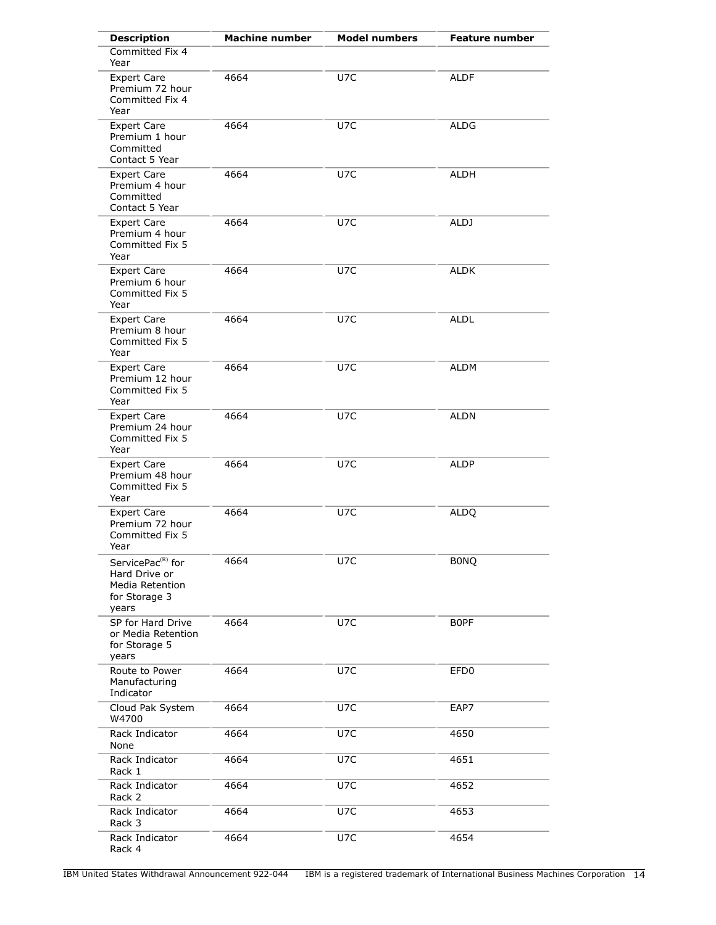| <b>Description</b>                                                                          | <b>Machine number</b> | <b>Model numbers</b> | <b>Feature number</b> |
|---------------------------------------------------------------------------------------------|-----------------------|----------------------|-----------------------|
| Committed Fix 4<br>Year                                                                     |                       |                      |                       |
| <b>Expert Care</b><br>Premium 72 hour<br>Committed Fix 4<br>Year                            | 4664                  | U7C                  | <b>ALDF</b>           |
| <b>Expert Care</b><br>Premium 1 hour<br>Committed<br>Contact 5 Year                         | 4664                  | U7C                  | <b>ALDG</b>           |
| <b>Expert Care</b><br>Premium 4 hour<br>Committed<br>Contact 5 Year                         | 4664                  | U7C                  | <b>ALDH</b>           |
| <b>Expert Care</b><br>Premium 4 hour<br>Committed Fix 5<br>Year                             | 4664                  | U7C                  | <b>ALDJ</b>           |
| <b>Expert Care</b><br>Premium 6 hour<br>Committed Fix 5<br>Year                             | 4664                  | U7C                  | <b>ALDK</b>           |
| <b>Expert Care</b><br>Premium 8 hour<br>Committed Fix 5<br>Year                             | 4664                  | U7C                  | <b>ALDL</b>           |
| <b>Expert Care</b><br>Premium 12 hour<br>Committed Fix 5<br>Year                            | 4664                  | U7C                  | ALDM                  |
| <b>Expert Care</b><br>Premium 24 hour<br>Committed Fix 5<br>Year                            | 4664                  | U7C                  | ALDN                  |
| <b>Expert Care</b><br>Premium 48 hour<br>Committed Fix 5<br>Year                            | 4664                  | U7C                  | ALDP                  |
| <b>Expert Care</b><br>Premium 72 hour<br>Committed Fix 5<br>Year                            | 4664                  | U7C                  | <b>ALDQ</b>           |
| ServicePac <sup>(R)</sup> for<br>Hard Drive or<br>Media Retention<br>for Storage 3<br>years | 4664                  | U7C                  | <b>BONQ</b>           |
| SP for Hard Drive<br>or Media Retention<br>for Storage 5<br>years                           | 4664                  | U7C                  | <b>BOPF</b>           |
| Route to Power<br>Manufacturing<br>Indicator                                                | 4664                  | U7C                  | EFD <sub>0</sub>      |
| Cloud Pak System<br>W4700                                                                   | 4664                  | U7C                  | EAP7                  |
| Rack Indicator<br>None                                                                      | 4664                  | U7C                  | 4650                  |
| Rack Indicator<br>Rack 1                                                                    | 4664                  | U7C                  | 4651                  |
| Rack Indicator<br>Rack 2                                                                    | 4664                  | U7C                  | 4652                  |
| Rack Indicator<br>Rack 3                                                                    | 4664                  | U7C                  | 4653                  |
| Rack Indicator<br>Rack 4                                                                    | 4664                  | U7C                  | 4654                  |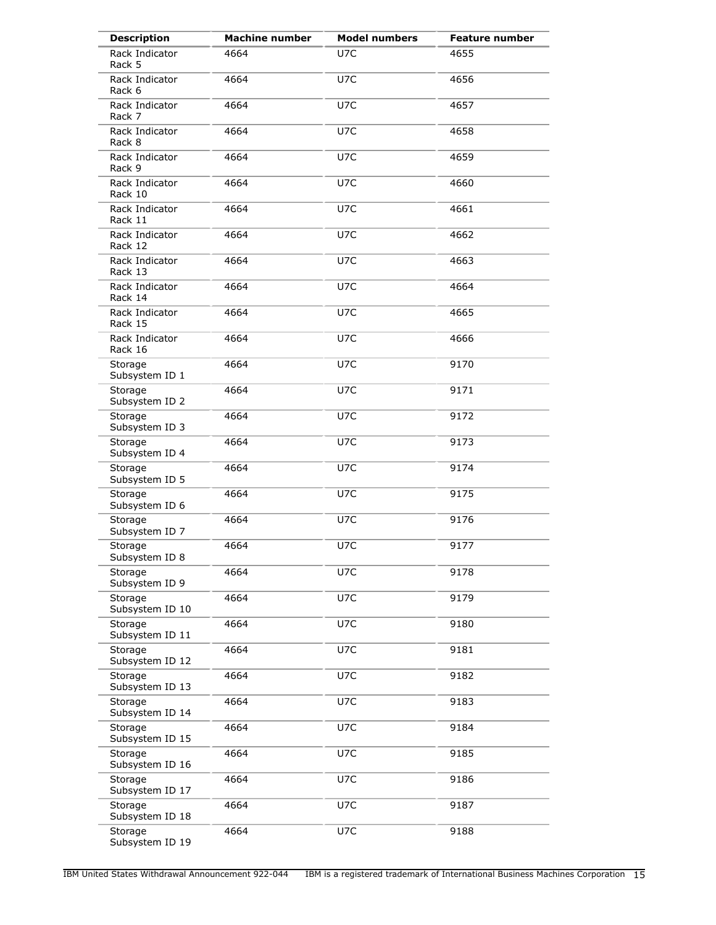| <b>Description</b>         | <b>Machine number</b> | <b>Model numbers</b> | <b>Feature number</b> |
|----------------------------|-----------------------|----------------------|-----------------------|
| Rack Indicator<br>Rack 5   | 4664                  | U7C                  | 4655                  |
| Rack Indicator<br>Rack 6   | 4664                  | U7C                  | 4656                  |
| Rack Indicator<br>Rack 7   | 4664                  | U7C                  | 4657                  |
| Rack Indicator<br>Rack 8   | 4664                  | U7C                  | 4658                  |
| Rack Indicator<br>Rack 9   | 4664                  | U7C                  | 4659                  |
| Rack Indicator<br>Rack 10  | 4664                  | U7C                  | 4660                  |
| Rack Indicator<br>Rack 11  | 4664                  | U7C                  | 4661                  |
| Rack Indicator<br>Rack 12  | 4664                  | U7C                  | 4662                  |
| Rack Indicator<br>Rack 13  | 4664                  | U7C                  | 4663                  |
| Rack Indicator<br>Rack 14  | 4664                  | U7C                  | 4664                  |
| Rack Indicator<br>Rack 15  | 4664                  | U7C                  | 4665                  |
| Rack Indicator<br>Rack 16  | 4664                  | U7C                  | 4666                  |
| Storage<br>Subsystem ID 1  | 4664                  | U7C                  | 9170                  |
| Storage<br>Subsystem ID 2  | 4664                  | U7C                  | 9171                  |
| Storage<br>Subsystem ID 3  | 4664                  | U7C                  | 9172                  |
| Storage<br>Subsystem ID 4  | 4664                  | U7C                  | 9173                  |
| Storage<br>Subsystem ID 5  | 4664                  | U7C                  | 9174                  |
| Storage<br>Subsystem ID 6  | 4664                  | U7C                  | 9175                  |
| Storage<br>Subsystem ID 7  | 4664                  | U7C                  | 9176                  |
| Storage<br>Subsystem ID 8  | 4664                  | U7C                  | 9177                  |
| Storage<br>Subsystem ID 9  | 4664                  | U7C                  | 9178                  |
| Storage<br>Subsystem ID 10 | 4664                  | U7C                  | 9179                  |
| Storage<br>Subsystem ID 11 | 4664                  | U7C                  | 9180                  |
| Storage<br>Subsystem ID 12 | 4664                  | U7C                  | 9181                  |
| Storage<br>Subsystem ID 13 | 4664                  | U7C                  | 9182                  |
| Storage<br>Subsystem ID 14 | 4664                  | U7C                  | 9183                  |
| Storage<br>Subsystem ID 15 | 4664                  | U7C                  | 9184                  |
| Storage<br>Subsystem ID 16 | 4664                  | U7C                  | 9185                  |
| Storage<br>Subsystem ID 17 | 4664                  | U7C                  | 9186                  |
| Storage<br>Subsystem ID 18 | 4664                  | U7C                  | 9187                  |
| Storage<br>Subsystem ID 19 | 4664                  | U7C                  | 9188                  |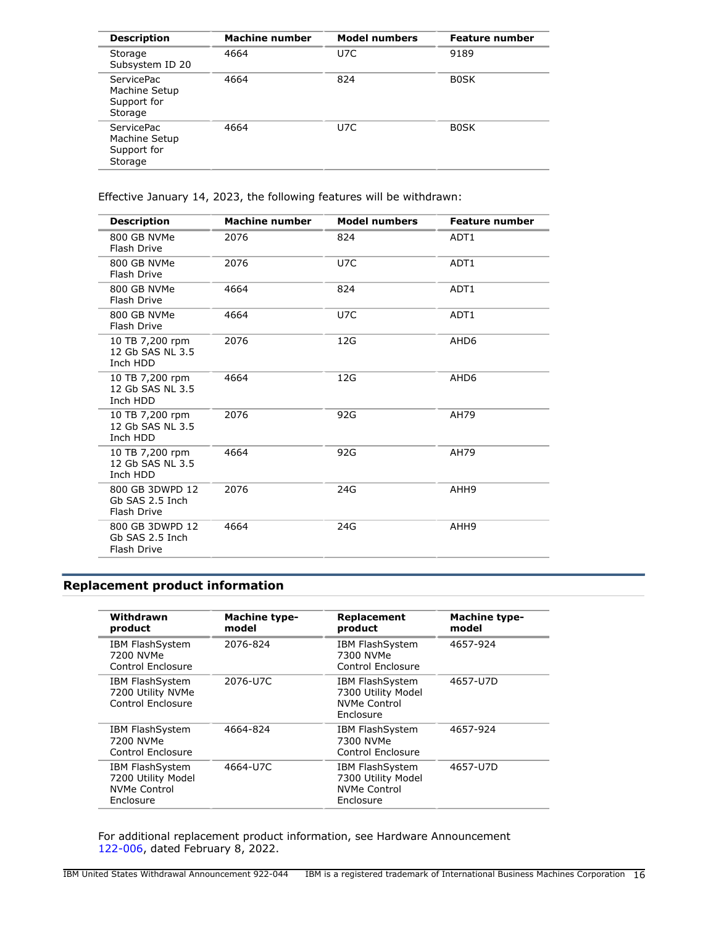| <b>Description</b>                                           | <b>Machine number</b> | <b>Model numbers</b> | <b>Feature number</b> |
|--------------------------------------------------------------|-----------------------|----------------------|-----------------------|
| Storage<br>Subsystem ID 20                                   | 4664                  | U7C                  | 9189                  |
| <b>ServicePac</b><br>Machine Setup<br>Support for<br>Storage | 4664                  | 824                  | <b>BOSK</b>           |
| <b>ServicePac</b><br>Machine Setup<br>Support for<br>Storage | 4664                  | U7C                  | <b>BOSK</b>           |

Effective January 14, 2023, the following features will be withdrawn:

| <b>Description</b>                                | Machine number | <b>Model numbers</b> | <b>Feature number</b> |
|---------------------------------------------------|----------------|----------------------|-----------------------|
| 800 GB NVMe<br>Flash Drive                        | 2076           | 824                  | ADT1                  |
| 800 GB NVMe<br>Flash Drive                        | 2076           | U7C                  | ADT1                  |
| 800 GB NVMe<br>Flash Drive                        | 4664           | 824                  | ADT1                  |
| 800 GB NVMe<br>Flash Drive                        | 4664           | U7C                  | ADT1                  |
| 10 TB 7,200 rpm<br>12 Gb SAS NL 3.5<br>Inch HDD   | 2076           | 12G                  | AHD <sub>6</sub>      |
| 10 TB 7,200 rpm<br>12 Gb SAS NL 3.5<br>Inch HDD   | 4664           | 12G                  | AHD <sub>6</sub>      |
| 10 TB 7,200 rpm<br>12 Gb SAS NL 3.5<br>Inch HDD   | 2076           | 92G                  | AH79                  |
| 10 TB 7,200 rpm<br>12 Gb SAS NL 3.5<br>Inch HDD   | 4664           | 92G                  | AH79                  |
| 800 GB 3DWPD 12<br>Gb SAS 2.5 Inch<br>Flash Drive | 2076           | 24G                  | AHH9                  |
| 800 GB 3DWPD 12<br>Gb SAS 2.5 Inch<br>Flash Drive | 4664           | 24G                  | AHH9                  |

## <span id="page-15-0"></span>**Replacement product information**

| Withdrawn<br>product                                                      | <b>Machine type-</b><br>model | Replacement<br>product                                                           | <b>Machine type-</b><br>model |
|---------------------------------------------------------------------------|-------------------------------|----------------------------------------------------------------------------------|-------------------------------|
| IBM FlashSystem<br>7200 NVMe<br>Control Enclosure                         | 2076-824                      | <b>IBM FlashSystem</b><br>7300 NVMe<br>Control Enclosure                         | 4657-924                      |
| <b>IBM FlashSystem</b><br>7200 Utility NVMe<br>Control Enclosure          | 2076-U7C                      | <b>IBM FlashSystem</b><br>7300 Utility Model<br><b>NVMe Control</b><br>Enclosure | 4657-U7D                      |
| <b>IBM FlashSystem</b><br>7200 NVMe<br>Control Enclosure                  | 4664-824                      | <b>IBM FlashSystem</b><br>7300 NVMe<br>Control Enclosure                         | 4657-924                      |
| <b>IBM FlashSystem</b><br>7200 Utility Model<br>NVMe Control<br>Enclosure | 4664-U7C                      | <b>IBM FlashSystem</b><br>7300 Utility Model<br><b>NVMe Control</b><br>Enclosure | 4657-U7D                      |

For additional replacement product information, see Hardware Announcement [122-006](http://www.ibm.com/common/ssi/cgi-bin/ssialias?infotype=an&subtype=ca&appname=gpateam&supplier=897&letternum=ENUS122-006), dated February 8, 2022.